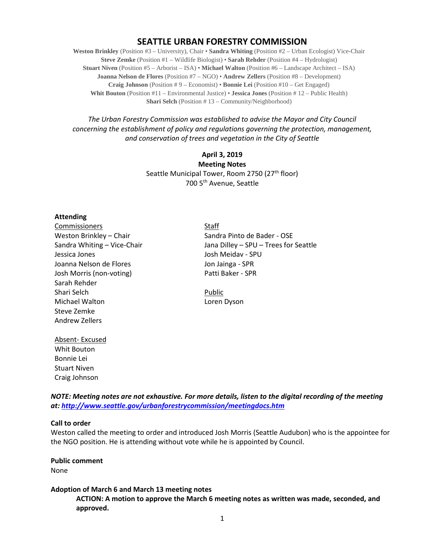# **SEATTLE URBAN FORESTRY COMMISSION**

**Weston Brinkley** (Position #3 – University), Chair • **Sandra Whiting** (Position #2 – Urban Ecologist) Vice-Chair **Steve Zemke** (Position #1 – Wildlife Biologist) • **Sarah Rehder** (Position #4 – Hydrologist) **Stuart Niven** (Position #5 – Arborist – ISA) • **Michael Walton** (Position #6 – Landscape Architect – ISA) **Joanna Nelson de Flores** (Position #7 – NGO) • **Andrew Zellers** (Position #8 – Development) **Craig Johnson** (Position # 9 – Economist) • **Bonnie Lei** (Position #10 – Get Engaged) **Whit Bouton** (Position #11 – Environmental Justice) • **Jessica Jones** (Position # 12 – Public Health) **Shari Selch** (Position #13 – Community/Neighborhood)

*The Urban Forestry Commission was established to advise the Mayor and City Council concerning the establishment of policy and regulations governing the protection, management, and conservation of trees and vegetation in the City of Seattle*

> **April 3, 2019 Meeting Notes** Seattle Municipal Tower, Room 2750 (27<sup>th</sup> floor) 700 5th Avenue, Seattle

#### **Attending**

Commissioners Staff Jessica Jones Josh Meidav - SPU Joanna Nelson de Flores **Journalist Communist Communist Communist Communist Communist Communist Communist Communist Communist Communist Communist Communist Communist Communist Communist Communist Communist Communist Commun** Josh Morris (non-voting) Patti Baker - SPR Sarah Rehder Shari Selch **Public** Michael Walton **Loren Dyson** Steve Zemke Andrew Zellers

Weston Brinkley – Chair Sandra Pinto de Bader - OSE Sandra Whiting – Vice-Chair Theory Chair Jana Dilley – SPU – Trees for Seattle

Absent- Excused Whit Bouton Bonnie Lei Stuart Niven Craig Johnson

*NOTE: Meeting notes are not exhaustive. For more details, listen to the digital recording of the meeting at:<http://www.seattle.gov/urbanforestrycommission/meetingdocs.htm>*

#### **Call to order**

Weston called the meeting to order and introduced Josh Morris (Seattle Audubon) who is the appointee for the NGO position. He is attending without vote while he is appointed by Council.

**Public comment** None

#### **Adoption of March 6 and March 13 meeting notes**

**ACTION: A motion to approve the March 6 meeting notes as written was made, seconded, and approved.**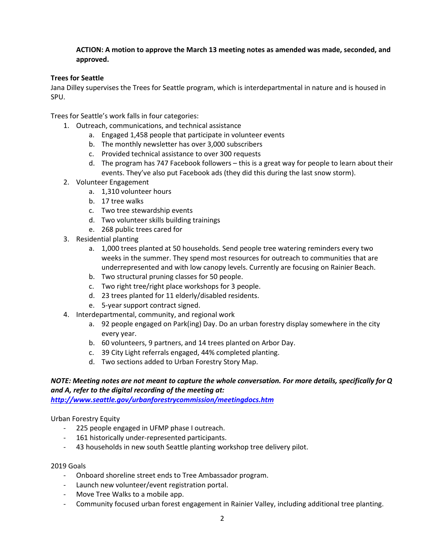#### **ACTION: A motion to approve the March 13 meeting notes as amended was made, seconded, and approved.**

### **Trees for Seattle**

Jana Dilley supervises the Trees for Seattle program, which is interdepartmental in nature and is housed in SPU.

Trees for Seattle's work falls in four categories:

- 1. Outreach, communications, and technical assistance
	- a. Engaged 1,458 people that participate in volunteer events
	- b. The monthly newsletter has over 3,000 subscribers
	- c. Provided technical assistance to over 300 requests
	- d. The program has 747 Facebook followers this is a great way for people to learn about their events. They've also put Facebook ads (they did this during the last snow storm).
- 2. Volunteer Engagement
	- a. 1,310 volunteer hours
	- b. 17 tree walks
	- c. Two tree stewardship events
	- d. Two volunteer skills building trainings
	- e. 268 public trees cared for
- 3. Residential planting
	- a. 1,000 trees planted at 50 households. Send people tree watering reminders every two weeks in the summer. They spend most resources for outreach to communities that are underrepresented and with low canopy levels. Currently are focusing on Rainier Beach.
	- b. Two structural pruning classes for 50 people.
	- c. Two right tree/right place workshops for 3 people.
	- d. 23 trees planted for 11 elderly/disabled residents.
	- e. 5-year support contract signed.
- 4. Interdepartmental, community, and regional work
	- a. 92 people engaged on Park(ing) Day. Do an urban forestry display somewhere in the city every year.
	- b. 60 volunteers, 9 partners, and 14 trees planted on Arbor Day.
	- c. 39 City Light referrals engaged, 44% completed planting.
	- d. Two sections added to Urban Forestry Story Map.

# *NOTE: Meeting notes are not meant to capture the whole conversation. For more details, specifically for Q and A, refer to the digital recording of the meeting at:*

*<http://www.seattle.gov/urbanforestrycommission/meetingdocs.htm>*

Urban Forestry Equity

- 225 people engaged in UFMP phase I outreach.
- 161 historically under-represented participants.
- 43 households in new south Seattle planting workshop tree delivery pilot.

#### 2019 Goals

- Onboard shoreline street ends to Tree Ambassador program.
- Launch new volunteer/event registration portal.
- Move Tree Walks to a mobile app.
- Community focused urban forest engagement in Rainier Valley, including additional tree planting.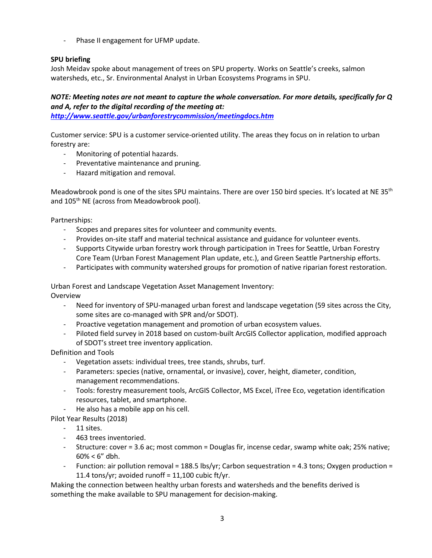- Phase II engagement for UFMP update.

#### **SPU briefing**

Josh Meidav spoke about management of trees on SPU property. Works on Seattle's creeks, salmon watersheds, etc., Sr. Environmental Analyst in Urban Ecosystems Programs in SPU.

## *NOTE: Meeting notes are not meant to capture the whole conversation. For more details, specifically for Q and A, refer to the digital recording of the meeting at:*

*<http://www.seattle.gov/urbanforestrycommission/meetingdocs.htm>*

Customer service: SPU is a customer service-oriented utility. The areas they focus on in relation to urban forestry are:

- Monitoring of potential hazards.
- Preventative maintenance and pruning.
- Hazard mitigation and removal.

Meadowbrook pond is one of the sites SPU maintains. There are over 150 bird species. It's located at NE 35<sup>th</sup> and 105<sup>th</sup> NE (across from Meadowbrook pool).

Partnerships:

- Scopes and prepares sites for volunteer and community events.
- Provides on-site staff and material technical assistance and guidance for volunteer events.
- Supports Citywide urban forestry work through participation in Trees for Seattle, Urban Forestry Core Team (Urban Forest Management Plan update, etc.), and Green Seattle Partnership efforts.
- Participates with community watershed groups for promotion of native riparian forest restoration.

Urban Forest and Landscape Vegetation Asset Management Inventory: Overview

- Need for inventory of SPU-managed urban forest and landscape vegetation (59 sites across the City, some sites are co-managed with SPR and/or SDOT).
- Proactive vegetation management and promotion of urban ecosystem values.
- Piloted field survey in 2018 based on custom-built ArcGIS Collector application, modified approach of SDOT's street tree inventory application.

Definition and Tools

- Vegetation assets: individual trees, tree stands, shrubs, turf.
- Parameters: species (native, ornamental, or invasive), cover, height, diameter, condition, management recommendations.
- Tools: forestry measurement tools, ArcGIS Collector, MS Excel, iTree Eco, vegetation identification resources, tablet, and smartphone.
- He also has a mobile app on his cell.
- Pilot Year Results (2018)
	- 11 sites.
	- 463 trees inventoried.
	- Structure: cover = 3.6 ac; most common = Douglas fir, incense cedar, swamp white oak; 25% native;  $60\% < 6''$  dbh.
	- Function: air pollution removal = 188.5 lbs/yr; Carbon sequestration = 4.3 tons; Oxygen production = 11.4 tons/yr; avoided runoff =  $11,100$  cubic ft/yr.

Making the connection between healthy urban forests and watersheds and the benefits derived is something the make available to SPU management for decision-making.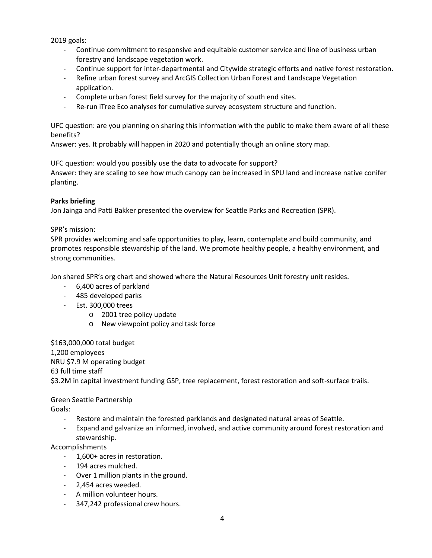2019 goals:

- Continue commitment to responsive and equitable customer service and line of business urban forestry and landscape vegetation work.
- Continue support for inter-departmental and Citywide strategic efforts and native forest restoration.
- Refine urban forest survey and ArcGIS Collection Urban Forest and Landscape Vegetation application.
- Complete urban forest field survey for the majority of south end sites.
- Re-run iTree Eco analyses for cumulative survey ecosystem structure and function.

UFC question: are you planning on sharing this information with the public to make them aware of all these benefits?

Answer: yes. It probably will happen in 2020 and potentially though an online story map.

UFC question: would you possibly use the data to advocate for support? Answer: they are scaling to see how much canopy can be increased in SPU land and increase native conifer planting.

#### **Parks briefing**

Jon Jainga and Patti Bakker presented the overview for Seattle Parks and Recreation (SPR).

SPR's mission:

SPR provides welcoming and safe opportunities to play, learn, contemplate and build community, and promotes responsible stewardship of the land. We promote healthy people, a healthy environment, and strong communities.

Jon shared SPR's org chart and showed where the Natural Resources Unit forestry unit resides.

- 6,400 acres of parkland
- 485 developed parks
- Est. 300,000 trees
	- o 2001 tree policy update
	- o New viewpoint policy and task force

\$163,000,000 total budget 1,200 employees NRU \$7.9 M operating budget 63 full time staff \$3.2M in capital investment funding GSP, tree replacement, forest restoration and soft-surface trails.

# Green Seattle Partnership

Goals:

- Restore and maintain the forested parklands and designated natural areas of Seattle.
- Expand and galvanize an informed, involved, and active community around forest restoration and stewardship.

Accomplishments

- 1,600+ acres in restoration.
- 194 acres mulched.
- Over 1 million plants in the ground.
- 2,454 acres weeded.
- A million volunteer hours.
- 347,242 professional crew hours.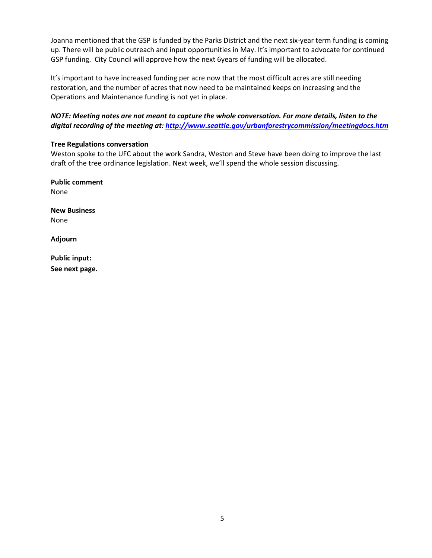Joanna mentioned that the GSP is funded by the Parks District and the next six-year term funding is coming up. There will be public outreach and input opportunities in May. It's important to advocate for continued GSP funding. City Council will approve how the next 6years of funding will be allocated.

It's important to have increased funding per acre now that the most difficult acres are still needing restoration, and the number of acres that now need to be maintained keeps on increasing and the Operations and Maintenance funding is not yet in place.

## *NOTE: Meeting notes are not meant to capture the whole conversation. For more details, listen to the digital recording of the meeting at[: http://www.seattle.gov/urbanforestrycommission/meetingdocs.htm](http://www.seattle.gov/urbanforestrycommission/meetingdocs.htm)*

#### **Tree Regulations conversation**

Weston spoke to the UFC about the work Sandra, Weston and Steve have been doing to improve the last draft of the tree ordinance legislation. Next week, we'll spend the whole session discussing.

**Public comment** None

**New Business** None

**Adjourn**

**Public input: See next page.**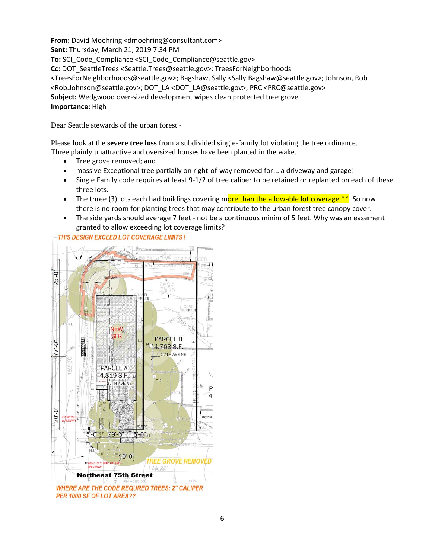**From:** David Moehring <dmoehring@consultant.com> **Sent:** Thursday, March 21, 2019 7:34 PM **To:** SCI\_Code\_Compliance <SCI\_Code\_Compliance@seattle.gov> **Cc:** DOT\_SeattleTrees <Seattle.Trees@seattle.gov>; TreesForNeighborhoods <TreesForNeighborhoods@seattle.gov>; Bagshaw, Sally <Sally.Bagshaw@seattle.gov>; Johnson, Rob <Rob.Johnson@seattle.gov>; DOT\_LA <DOT\_LA@seattle.gov>; PRC <PRC@seattle.gov> **Subject:** Wedgwood over-sized development wipes clean protected tree grove **Importance:** High

Dear Seattle stewards of the urban forest -

Please look at the **severe tree loss** from a subdivided single-family lot violating the tree ordinance. Three plainly unattractive and oversized houses have been planted in the wake.

- Tree grove removed; and
- massive Exceptional tree partially on right-of-way removed for... a driveway and garage!
- Single Family code requires at least 9-1/2 of tree caliper to be retained or replanted on each of these three lots.
- The three (3) lots each had buildings covering more than the allowable lot coverage  $**$ . So now there is no room for planting trees that may contribute to the urban forest tree canopy cover.
- The side yards should average 7 feet not be a continuous minim of 5 feet. Why was an easement granted to allow exceeding lot coverage limits?

THIS DESIGN EXCEED LOT COVERAGE LIMITS !

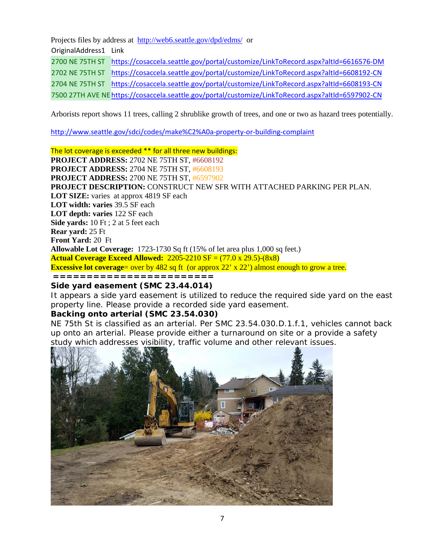Projects files by address at <http://web6.seattle.gov/dpd/edms/> or

OriginalAddress1 Link

2700 NE 75TH ST <https://cosaccela.seattle.gov/portal/customize/LinkToRecord.aspx?altId=6616576-DM>

2702 NE 75TH ST <https://cosaccela.seattle.gov/portal/customize/LinkToRecord.aspx?altId=6608192-CN>

2704 NE 75TH ST <https://cosaccela.seattle.gov/portal/customize/LinkToRecord.aspx?altId=6608193-CN>

7500 27TH AVE N[Ehttps://cosaccela.seattle.gov/portal/customize/LinkToRecord.aspx?altId=6597902-CN](https://cosaccela.seattle.gov/portal/customize/LinkToRecord.aspx?altId=6597902-CN)

Arborists report shows 11 trees, calling 2 shrublike growth of trees, and one or two as hazard trees potentially.

<http://www.seattle.gov/sdci/codes/make%C2%A0a-property-or-building-complaint>

The lot coverage is exceeded \*\* for all three new buildings: **PROJECT ADDRESS:** 2702 NE 75TH ST, #6608192 **PROJECT ADDRESS:** 2704 NE 75TH ST, #6608193 **PROJECT ADDRESS:** 2700 NE 75TH ST, #6597902 **PROJECT DESCRIPTION:** CONSTRUCT NEW SFR WITH ATTACHED PARKING PER PLAN. **LOT SIZE:** varies at approx 4819 SF each **LOT width: varies** 39.5 SF each **LOT depth: varies** 122 SF each **Side yards:** 10 Ft ; 2 at 5 feet each **Rear yard:** 25 Ft **Front Yard:** 20 Ft **Allowable Lot Coverage:** 1723-1730 Sq ft (15% of let area plus 1,000 sq feet.) **Actual Coverage Exceed Allowed:** 2205-2210 SF = (77.0 x 29.5)-(8x8) **Excessive lot coverage**= over by 482 sq ft (or approx 22' x 22') almost enough to grow a tree. **========================**

## **Side yard easement (SMC 23.44.014)**

It appears a side yard easement is utilized to reduce the required side yard on the east property line. Please provide a recorded side yard easement.

# **Backing onto arterial (SMC 23.54.030)**

NE 75th St is classified as an arterial. Per SMC 23.54.030.D.1.f.1, vehicles cannot back up onto an arterial. Please provide either a turnaround on site or a provide a safety study which addresses visibility, traffic volume and other relevant issues.

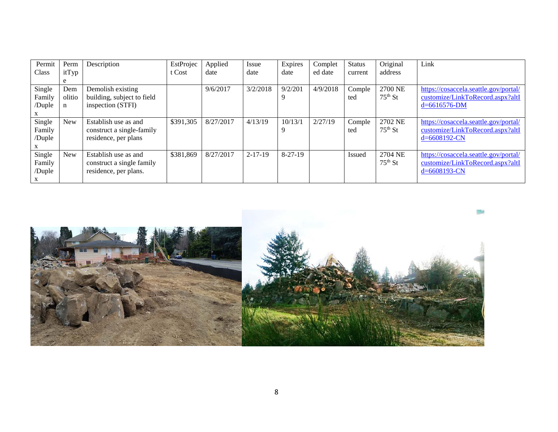| Permit<br>Class                 | Perm<br>itTyp                     | Description                                                                | EstProjec<br>t Cost | Applied<br>date | Issue<br>date | Expires<br>date | Complet<br>ed date | <b>Status</b><br>current | Original<br>address  | Link                                                                                            |
|---------------------------------|-----------------------------------|----------------------------------------------------------------------------|---------------------|-----------------|---------------|-----------------|--------------------|--------------------------|----------------------|-------------------------------------------------------------------------------------------------|
| Single<br>Family<br>/Duple      | e<br>Dem<br>olitio<br>$\mathbf n$ | Demolish existing<br>building, subject to field<br>inspection (STFI)       |                     | 9/6/2017        | 3/2/2018      | 9/2/201<br>9    | 4/9/2018           | Comple<br>ted            | 2700 NE<br>$75th$ St | https://cosaccela.seattle.gov/portal/<br>customize/LinkToRecord.aspx?altI<br>$d = 6616576 - DM$ |
| Single<br>Family<br>/Duple      | <b>New</b>                        | Establish use as and<br>construct a single-family<br>residence, per plans  | \$391,305           | 8/27/2017       | 4/13/19       | 10/13/1<br>9    | 2/27/19            | Comple<br>ted            | 2702 NE<br>$75th$ St | https://cosaccela.seattle.gov/portal/<br>customize/LinkToRecord.aspx?altI<br>$d = 6608192$ -CN  |
| Single<br>Family<br>/Duple<br>X | New                               | Establish use as and<br>construct a single family<br>residence, per plans. | \$381,869           | 8/27/2017       | $2 - 17 - 19$ | 8-27-19         |                    | <b>Issued</b>            | 2704 NE<br>$75th$ St | https://cosaccela.seattle.gov/portal/<br>customize/LinkToRecord.aspx?altI<br>$d = 6608193$ -CN  |

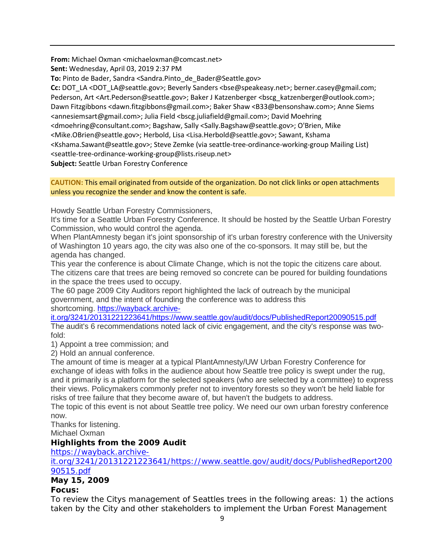**From:** Michael Oxman <michaeloxman@comcast.net>

**Sent:** Wednesday, April 03, 2019 2:37 PM

**To:** Pinto de Bader, Sandra <Sandra.Pinto de Bader@Seattle.gov>

**Cc:** DOT\_LA <DOT\_LA@seattle.gov>; Beverly Sanders <bse@speakeasy.net>; berner.casey@gmail.com; Pederson, Art <Art.Pederson@seattle.gov>; Baker J Katzenberger <br/>bscg\_katzenberger@outlook.com>; Dawn Fitzgibbons <dawn.fitzgibbons@gmail.com>; Baker Shaw <B33@bensonshaw.com>; Anne Siems <annesiemsart@gmail.com>; Julia Field <bscg.juliafield@gmail.com>; David Moehring <dmoehring@consultant.com>; Bagshaw, Sally <Sally.Bagshaw@seattle.gov>; O'Brien, Mike <Mike.OBrien@seattle.gov>; Herbold, Lisa <Lisa.Herbold@seattle.gov>; Sawant, Kshama <Kshama.Sawant@seattle.gov>; Steve Zemke (via seattle-tree-ordinance-working-group Mailing List) <seattle-tree-ordinance-working-group@lists.riseup.net> **Subject:** Seattle Urban Forestry Conference

**CAUTION:** This email originated from outside of the organization. Do not click links or open attachments unless you recognize the sender and know the content is safe.

Howdy Seattle Urban Forestry Commissioners,

It's time for a Seattle Urban Forestry Conference. It should be hosted by the Seattle Urban Forestry Commission, who would control the agenda.

When PlantAmnesty began it's joint sponsorship of it's urban forestry conference with the University of Washington 10 years ago, the city was also one of the co-sponsors. It may still be, but the agenda has changed.

This year the conference is about Climate Change, which is not the topic the citizens care about. The citizens care that trees are being removed so concrete can be poured for building foundations in the space the trees used to occupy.

The 60 page 2009 City Auditors report highlighted the lack of outreach by the municipal government, and the intent of founding the conference was to address this shortcoming. [https://wayback.archive-](https://wayback.archive-it.org/3241/20131221223641/https:/www.seattle.gov/audit/docs/PublishedReport20090515.pdf)

[it.org/3241/20131221223641/https://www.seattle.gov/audit/docs/PublishedReport20090515.pdf](https://wayback.archive-it.org/3241/20131221223641/https:/www.seattle.gov/audit/docs/PublishedReport20090515.pdf)

The audit's 6 recommendations noted lack of civic engagement, and the city's response was twofold:

1) Appoint a tree commission; and

2) Hold an annual conference.

The amount of time is meager at a typical PlantAmnesty/UW Urban Forestry Conference for exchange of ideas with folks in the audience about how Seattle tree policy is swept under the rug, and it primarily is a platform for the selected speakers (who are selected by a committee) to express their views. Policymakers commonly prefer not to inventory forests so they won't be held liable for risks of tree failure that they become aware of, but haven't the budgets to address.

The topic of this event is not about Seattle tree policy. We need our own urban forestry conference now.

Thanks for listening.

Michael Oxman

# **Highlights from the 2009 Audit**

[https://wayback.archive-](https://wayback.archive-it.org/3241/20131221223641/https:/www.seattle.gov/audit/docs/PublishedReport20090515.pdf)

[it.org/3241/20131221223641/https://www.seattle.gov/audit/docs/PublishedReport200](https://wayback.archive-it.org/3241/20131221223641/https:/www.seattle.gov/audit/docs/PublishedReport20090515.pdf) [90515.pdf](https://wayback.archive-it.org/3241/20131221223641/https:/www.seattle.gov/audit/docs/PublishedReport20090515.pdf)

# **May 15, 2009**

# **Focus:**

To review the Citys management of Seattles trees in the following areas: 1) the actions taken by the City and other stakeholders to implement the Urban Forest Management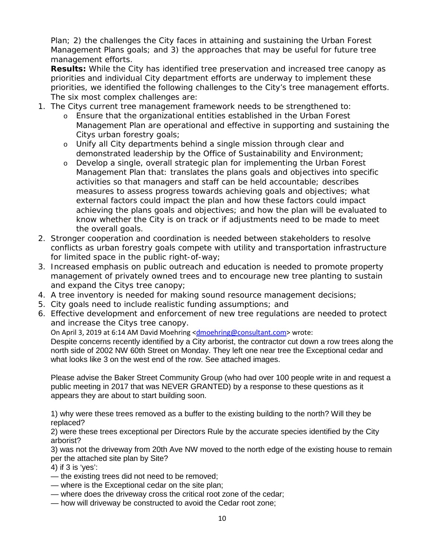Plan; 2) the challenges the City faces in attaining and sustaining the Urban Forest Management Plans goals; and 3) the approaches that may be useful for future tree management efforts.

**Results:** While the City has identified tree preservation and increased tree canopy as priorities and individual City department efforts are underway to implement these priorities, we identified the following challenges to the City's tree management efforts. The six most complex challenges are:

- 1. The Citys current tree management framework needs to be strengthened to:
	- o Ensure that the organizational entities established in the Urban Forest Management Plan are operational and effective in supporting and sustaining the Citys urban forestry goals;
	- o Unify all City departments behind a single mission through clear and demonstrated leadership by the Office of Sustainability and Environment;
	- o Develop a single, overall strategic plan for implementing the Urban Forest Management Plan that: translates the plans goals and objectives into specific activities so that managers and staff can be held accountable; describes measures to assess progress towards achieving goals and objectives; what external factors could impact the plan and how these factors could impact achieving the plans goals and objectives; and how the plan will be evaluated to know whether the City is on track or if adjustments need to be made to meet the overall goals.
- 2. Stronger cooperation and coordination is needed between stakeholders to resolve conflicts as urban forestry goals compete with utility and transportation infrastructure for limited space in the public right-of-way;
- 3. Increased emphasis on public outreach and education is needed to promote property management of privately owned trees and to encourage new tree planting to sustain and expand the Citys tree canopy;
- 4. A tree inventory is needed for making sound resource management decisions;
- 5. City goals need to include realistic funding assumptions; and
- 6. Effective development and enforcement of new tree regulations are needed to protect and increase the Citys tree canopy.

On April 3, 2019 at 6:14 AM David Moehring [<dmoehring@consultant.com>](mailto:dmoehring@consultant.com) wrote:

Despite concerns recently identified by a City arborist, the contractor cut down a row trees along the north side of 2002 NW 60th Street on Monday. They left one near tree the Exceptional cedar and what looks like 3 on the west end of the row. See attached images.

Please advise the Baker Street Community Group (who had over 100 people write in and request a public meeting in 2017 that was NEVER GRANTED) by a response to these questions as it appears they are about to start building soon.

1) why were these trees removed as a buffer to the existing building to the north? Will they be replaced?

2) were these trees exceptional per Directors Rule by the accurate species identified by the City arborist?

3) was not the driveway from 20th Ave NW moved to the north edge of the existing house to remain per the attached site plan by Site?

4) if 3 is 'yes':

- the existing trees did not need to be removed;
- where is the Exceptional cedar on the site plan;
- where does the driveway cross the critical root zone of the cedar;
- how will driveway be constructed to avoid the Cedar root zone;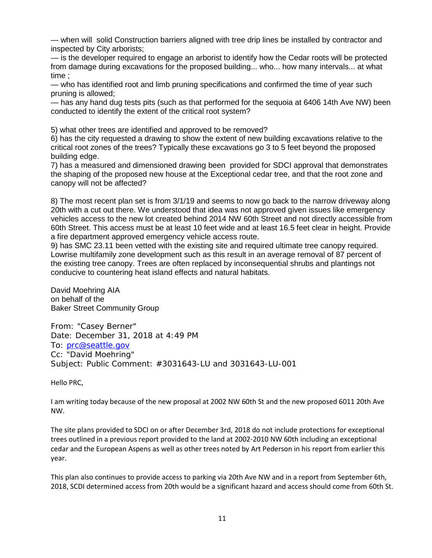— when will solid Construction barriers aligned with tree drip lines be installed by contractor and inspected by City arborists;

— is the developer required to engage an arborist to identify how the Cedar roots will be protected from damage during excavations for the proposed building... who... how many intervals... at what time ;

— who has identified root and limb pruning specifications and confirmed the time of year such pruning is allowed;

— has any hand dug tests pits (such as that performed for the sequoia at 6406 14th Ave NW) been conducted to identify the extent of the critical root system?

5) what other trees are identified and approved to be removed?

6) has the city requested a drawing to show the extent of new building excavations relative to the critical root zones of the trees? Typically these excavations go 3 to 5 feet beyond the proposed building edge.

7) has a measured and dimensioned drawing been provided for SDCI approval that demonstrates the shaping of the proposed new house at the Exceptional cedar tree, and that the root zone and canopy will not be affected?

8) The most recent plan set is from 3/1/19 and seems to now go back to the narrow driveway along 20th with a cut out there. We understood that idea was not approved given issues like emergency vehicles access to the new lot created behind 2014 NW 60th Street and not directly accessible from 60th Street. This access must be at least 10 feet wide and at least 16.5 feet clear in height. Provide a fire department approved emergency vehicle access route.

9) has SMC 23.11 been vetted with the existing site and required ultimate tree canopy required. Lowrise multifamily zone development such as this result in an average removal of 87 percent of the existing tree canopy. Trees are often replaced by inconsequential shrubs and plantings not conducive to countering heat island effects and natural habitats.

David Moehring AIA on behalf of the Baker Street Community Group

From: "Casey Berner" Date: December 31, 2018 at 4:49 PM To: [prc@seattle.gov](mailto:prc@seattle.gov) Cc: "David Moehring" Subject: Public Comment: #3031643-LU and 3031643-LU-001

Hello PRC,

I am writing today because of the new proposal at 2002 NW 60th St and the new proposed 6011 20th Ave NW.

The site plans provided to SDCI on or after December 3rd, 2018 do not include protections for exceptional trees outlined in a previous report provided to the land at 2002-2010 NW 60th including an exceptional cedar and the European Aspens as well as other trees noted by Art Pederson in his report from earlier this year.

This plan also continues to provide access to parking via 20th Ave NW and in a report from September 6th, 2018, SCDI determined access from 20th would be a significant hazard and access should come from 60th St.